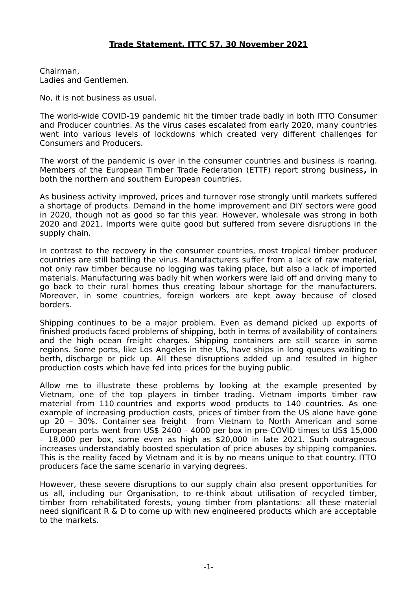Chairman, Ladies and Gentlemen.

No, it is not business as usual.

The world-wide COVID-19 pandemic hit the timber trade badly in both ITTO Consumer and Producer countries. As the virus cases escalated from early 2020, many countries went into various levels of lockdowns which created very different challenges for Consumers and Producers.

The worst of the pandemic is over in the consumer countries and business is roaring. Members of the European Timber Trade Federation (ETTF) report strong business**,** in both the northern and southern European countries.

As business activity improved, prices and turnover rose strongly until markets suffered a shortage of products. Demand in the home improvement and DIY sectors were good in 2020, though not as good so far this year. However, wholesale was strong in both 2020 and 2021. Imports were quite good but suffered from severe disruptions in the supply chain.

In contrast to the recovery in the consumer countries, most tropical timber producer countries are still battling the virus. Manufacturers suffer from a lack of raw material, not only raw timber because no logging was taking place, but also a lack of imported materials. Manufacturing was badly hit when workers were laid off and driving many to go back to their rural homes thus creating labour shortage for the manufacturers. Moreover, in some countries, foreign workers are kept away because of closed borders.

Shipping continues to be a major problem. Even as demand picked up exports of finished products faced problems of shipping, both in terms of availability of containers and the high ocean freight charges. Shipping containers are still scarce in some regions. Some ports, like Los Angeles in the US, have ships in long queues waiting to berth, discharge or pick up. All these disruptions added up and resulted in higher production costs which have fed into prices for the buying public.

Allow me to illustrate these problems by looking at the example presented by Vietnam, one of the top players in timber trading. Vietnam imports timber raw material from 110 countries and exports wood products to 140 countries. As one example of increasing production costs, prices of timber from the US alone have gone up 20 – 30%. Container sea freight from Vietnam to North American and some European ports went from US\$ 2400 – 4000 per box in pre-COVID times to US\$ 15,000 – 18,000 per box, some even as high as \$20,000 in late 2021. Such outrageous increases understandably boosted speculation of price abuses by shipping companies. This is the reality faced by Vietnam and it is by no means unique to that country. ITTO producers face the same scenario in varying degrees.

However, these severe disruptions to our supply chain also present opportunities for us all, including our Organisation, to re-think about utilisation of recycled timber, timber from rehabilitated forests, young timber from plantations: all these material need significant R & D to come up with new engineered products which are acceptable to the markets.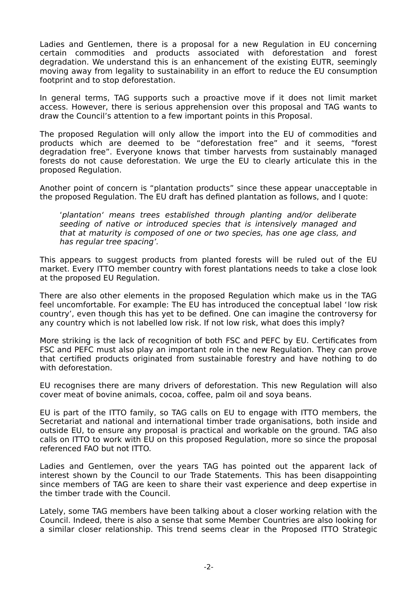Ladies and Gentlemen, there is a proposal for a new Regulation in EU concerning certain commodities and products associated with deforestation and forest degradation. We understand this is an enhancement of the existing EUTR, seemingly moving away from legality to sustainability in an effort to reduce the EU consumption footprint and to stop deforestation.

In general terms, TAG supports such a proactive move if it does not limit market access. However, there is serious apprehension over this proposal and TAG wants to draw the Council's attention to a few important points in this Proposal.

The proposed Regulation will only allow the import into the EU of commodities and products which are deemed to be "deforestation free" and it seems, "forest degradation free". Everyone knows that timber harvests from sustainably managed forests do not cause deforestation. We urge the EU to clearly articulate this in the proposed Regulation.

Another point of concern is "plantation products" since these appear unacceptable in the proposed Regulation. The EU draft has defined plantation as follows, and I quote:

'plantation' means trees established through planting and/or deliberate seeding of native or introduced species that is intensively managed and that at maturity is composed of one or two species, has one age class, and has regular tree spacing'.

This appears to suggest products from planted forests will be ruled out of the EU market. Every ITTO member country with forest plantations needs to take a close look at the proposed EU Regulation.

There are also other elements in the proposed Regulation which make us in the TAG feel uncomfortable. For example: The EU has introduced the conceptual label 'low risk country', even though this has yet to be defined. One can imagine the controversy for any country which is not labelled low risk. If not low risk, what does this imply?

More striking is the lack of recognition of both FSC and PEFC by EU. Certificates from FSC and PEFC must also play an important role in the new Regulation. They can prove that certified products originated from sustainable forestry and have nothing to do with deforestation.

EU recognises there are many drivers of deforestation. This new Regulation will also cover meat of bovine animals, cocoa, coffee, palm oil and soya beans.

EU is part of the ITTO family, so TAG calls on EU to engage with ITTO members, the Secretariat and national and international timber trade organisations, both inside and outside EU, to ensure any proposal is practical and workable on the ground. TAG also calls on ITTO to work with EU on this proposed Regulation, more so since the proposal referenced FAO but not ITTO.

Ladies and Gentlemen, over the years TAG has pointed out the apparent lack of interest shown by the Council to our Trade Statements. This has been disappointing since members of TAG are keen to share their vast experience and deep expertise in the timber trade with the Council.

Lately, some TAG members have been talking about a closer working relation with the Council. Indeed, there is also a sense that some Member Countries are also looking for a similar closer relationship. This trend seems clear in the Proposed ITTO Strategic